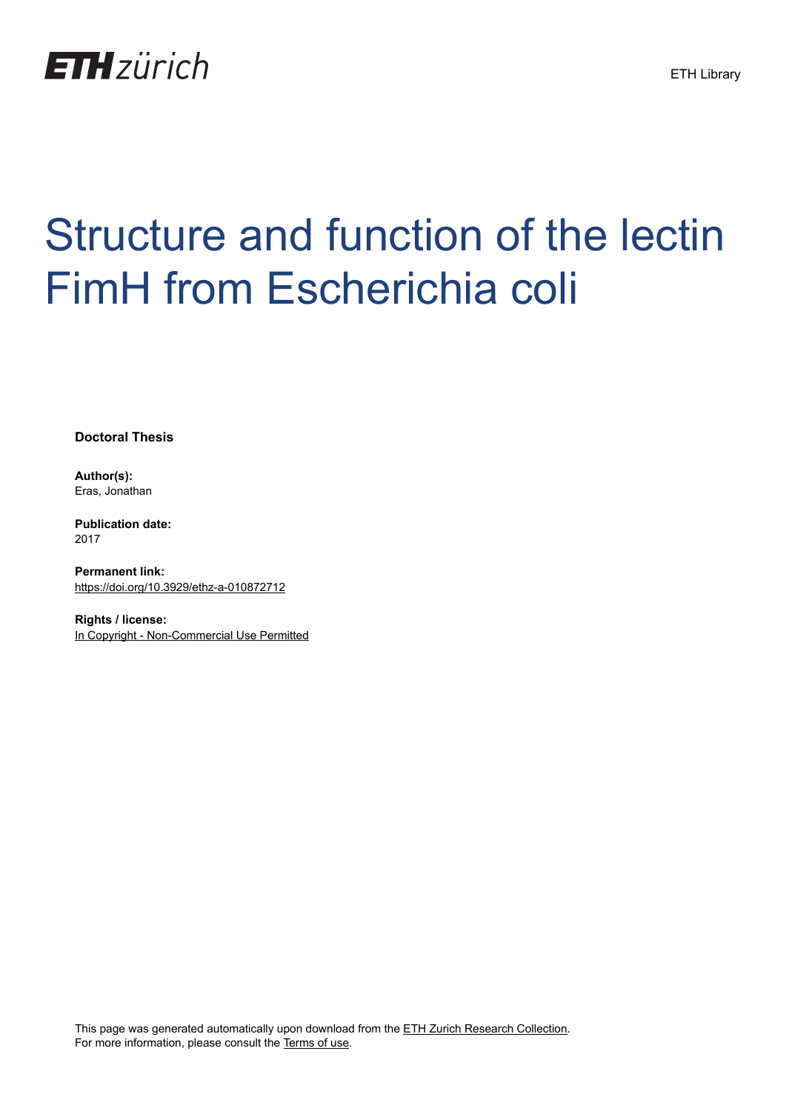

# Structure and function of the lectin FimH from Escherichia coli

**Doctoral Thesis**

**Author(s):** Eras, Jonathan

**Publication date:** 2017

**Permanent link:** <https://doi.org/10.3929/ethz-a-010872712>

**Rights / license:** [In Copyright - Non-Commercial Use Permitted](http://rightsstatements.org/page/InC-NC/1.0/)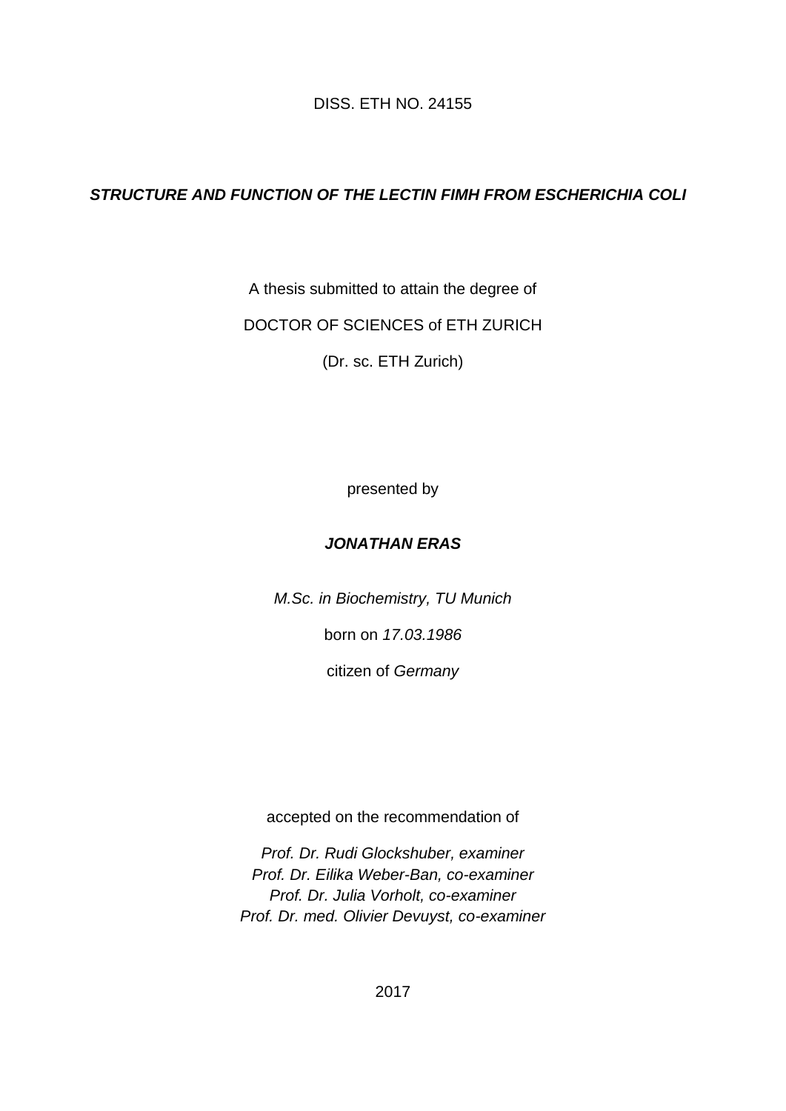DISS. ETH NO. 24155

### *STRUCTURE AND FUNCTION OF THE LECTIN FIMH FROM ESCHERICHIA COLI*

A thesis submitted to attain the degree of

DOCTOR OF SCIENCES of ETH ZURICH

(Dr. sc. ETH Zurich)

presented by

#### *JONATHAN ERAS*

*M.Sc. in Biochemistry, TU Munich*

born on *17.03.1986*

citizen of *Germany*

accepted on the recommendation of

*Prof. Dr. Rudi Glockshuber, examiner Prof. Dr. Eilika Weber-Ban, co-examiner Prof. Dr. Julia Vorholt, co-examiner Prof. Dr. med. Olivier Devuyst, co-examiner*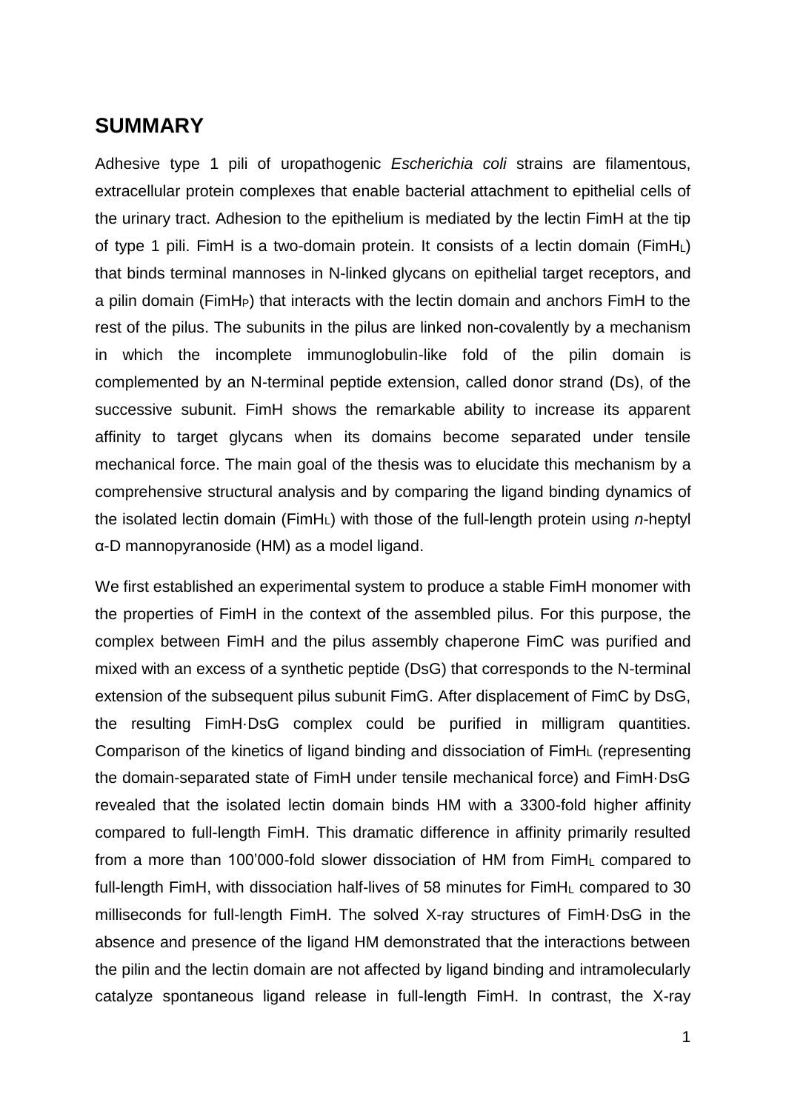## **SUMMARY**

Adhesive type 1 pili of uropathogenic *Escherichia coli* strains are filamentous, extracellular protein complexes that enable bacterial attachment to epithelial cells of the urinary tract. Adhesion to the epithelium is mediated by the lectin FimH at the tip of type 1 pili. FimH is a two-domain protein. It consists of a lectin domain (FimHL) that binds terminal mannoses in N-linked glycans on epithelial target receptors, and a pilin domain (FimHP) that interacts with the lectin domain and anchors FimH to the rest of the pilus. The subunits in the pilus are linked non-covalently by a mechanism in which the incomplete immunoglobulin-like fold of the pilin domain is complemented by an N-terminal peptide extension, called donor strand (Ds), of the successive subunit. FimH shows the remarkable ability to increase its apparent affinity to target glycans when its domains become separated under tensile mechanical force. The main goal of the thesis was to elucidate this mechanism by a comprehensive structural analysis and by comparing the ligand binding dynamics of the isolated lectin domain (FimHL) with those of the full-length protein using *n*-heptyl α-D mannopyranoside (HM) as a model ligand.

We first established an experimental system to produce a stable FimH monomer with the properties of FimH in the context of the assembled pilus. For this purpose, the complex between FimH and the pilus assembly chaperone FimC was purified and mixed with an excess of a synthetic peptide (DsG) that corresponds to the N-terminal extension of the subsequent pilus subunit FimG. After displacement of FimC by DsG, the resulting FimH·DsG complex could be purified in milligram quantities. Comparison of the kinetics of ligand binding and dissociation of FimH<sup>L</sup> (representing the domain-separated state of FimH under tensile mechanical force) and FimH·DsG revealed that the isolated lectin domain binds HM with a 3300-fold higher affinity compared to full-length FimH. This dramatic difference in affinity primarily resulted from a more than 100'000-fold slower dissociation of HM from FimH<sup>L</sup> compared to full-length FimH, with dissociation half-lives of 58 minutes for FimH<sup>L</sup> compared to 30 milliseconds for full-length FimH. The solved X-ray structures of FimH·DsG in the absence and presence of the ligand HM demonstrated that the interactions between the pilin and the lectin domain are not affected by ligand binding and intramolecularly catalyze spontaneous ligand release in full-length FimH. In contrast, the X-ray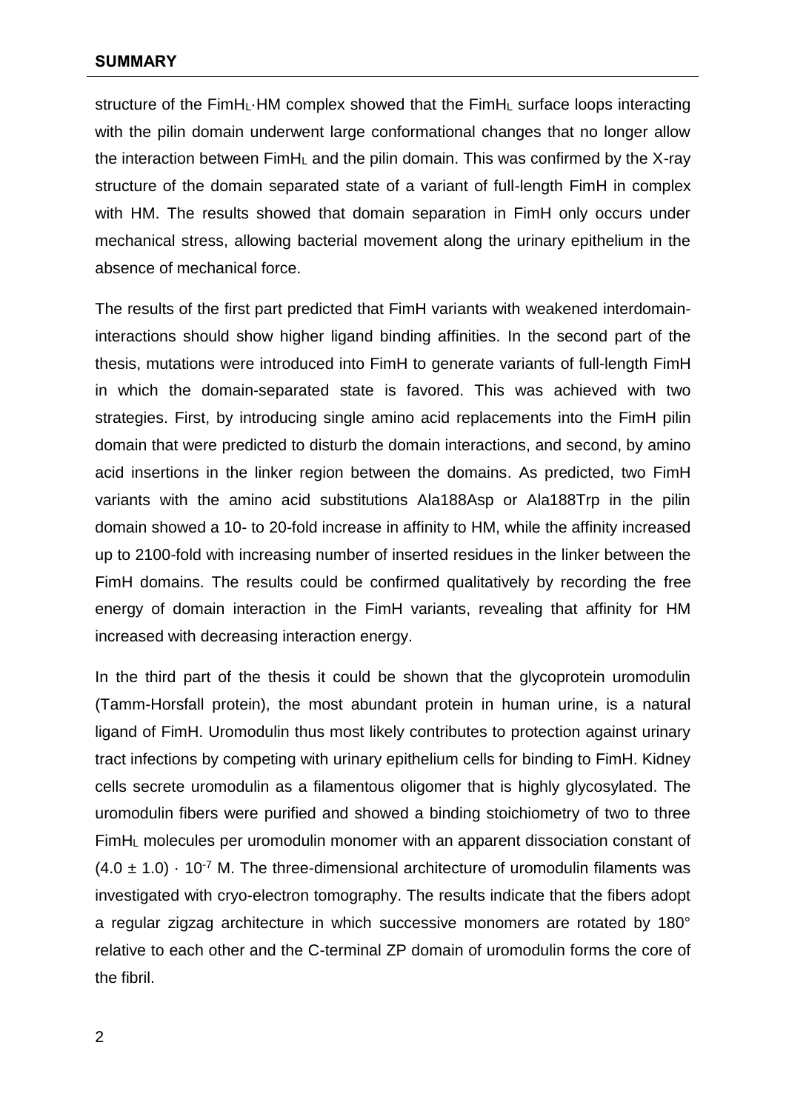structure of the FimHL·HM complex showed that the FimH<sup>L</sup> surface loops interacting with the pilin domain underwent large conformational changes that no longer allow the interaction between  $FimH<sub>L</sub>$  and the pilin domain. This was confirmed by the X-ray structure of the domain separated state of a variant of full-length FimH in complex with HM. The results showed that domain separation in FimH only occurs under mechanical stress, allowing bacterial movement along the urinary epithelium in the absence of mechanical force.

The results of the first part predicted that FimH variants with weakened interdomaininteractions should show higher ligand binding affinities. In the second part of the thesis, mutations were introduced into FimH to generate variants of full-length FimH in which the domain-separated state is favored. This was achieved with two strategies. First, by introducing single amino acid replacements into the FimH pilin domain that were predicted to disturb the domain interactions, and second, by amino acid insertions in the linker region between the domains. As predicted, two FimH variants with the amino acid substitutions Ala188Asp or Ala188Trp in the pilin domain showed a 10- to 20-fold increase in affinity to HM, while the affinity increased up to 2100-fold with increasing number of inserted residues in the linker between the FimH domains. The results could be confirmed qualitatively by recording the free energy of domain interaction in the FimH variants, revealing that affinity for HM increased with decreasing interaction energy.

In the third part of the thesis it could be shown that the glycoprotein uromodulin (Tamm-Horsfall protein), the most abundant protein in human urine, is a natural ligand of FimH. Uromodulin thus most likely contributes to protection against urinary tract infections by competing with urinary epithelium cells for binding to FimH. Kidney cells secrete uromodulin as a filamentous oligomer that is highly glycosylated. The uromodulin fibers were purified and showed a binding stoichiometry of two to three FimH<sup>L</sup> molecules per uromodulin monomer with an apparent dissociation constant of  $(4.0 \pm 1.0) \cdot 10^{-7}$  M. The three-dimensional architecture of uromodulin filaments was investigated with cryo-electron tomography. The results indicate that the fibers adopt a regular zigzag architecture in which successive monomers are rotated by 180° relative to each other and the C-terminal ZP domain of uromodulin forms the core of the fibril.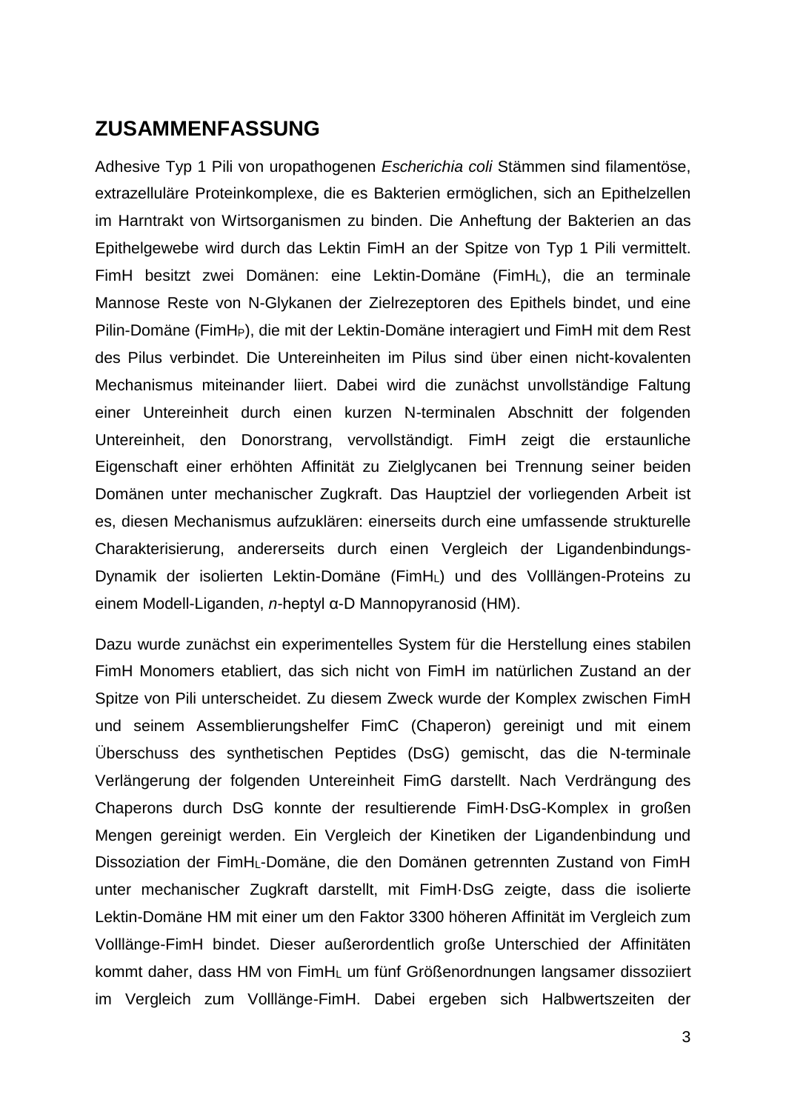## **ZUSAMMENFASSUNG**

Adhesive Typ 1 Pili von uropathogenen *Escherichia coli* Stämmen sind filamentöse, extrazelluläre Proteinkomplexe, die es Bakterien ermöglichen, sich an Epithelzellen im Harntrakt von Wirtsorganismen zu binden. Die Anheftung der Bakterien an das Epithelgewebe wird durch das Lektin FimH an der Spitze von Typ 1 Pili vermittelt. FimH besitzt zwei Domänen: eine Lektin-Domäne (FimHL), die an terminale Mannose Reste von N-Glykanen der Zielrezeptoren des Epithels bindet, und eine Pilin-Domäne (FimHP), die mit der Lektin-Domäne interagiert und FimH mit dem Rest des Pilus verbindet. Die Untereinheiten im Pilus sind über einen nicht-kovalenten Mechanismus miteinander liiert. Dabei wird die zunächst unvollständige Faltung einer Untereinheit durch einen kurzen N-terminalen Abschnitt der folgenden Untereinheit, den Donorstrang, vervollständigt. FimH zeigt die erstaunliche Eigenschaft einer erhöhten Affinität zu Zielglycanen bei Trennung seiner beiden Domänen unter mechanischer Zugkraft. Das Hauptziel der vorliegenden Arbeit ist es, diesen Mechanismus aufzuklären: einerseits durch eine umfassende strukturelle Charakterisierung, andererseits durch einen Vergleich der Ligandenbindungs-Dynamik der isolierten Lektin-Domäne (FimHL) und des Volllängen-Proteins zu einem Modell-Liganden, *n*-heptyl α-D Mannopyranosid (HM).

Dazu wurde zunächst ein experimentelles System für die Herstellung eines stabilen FimH Monomers etabliert, das sich nicht von FimH im natürlichen Zustand an der Spitze von Pili unterscheidet. Zu diesem Zweck wurde der Komplex zwischen FimH und seinem Assemblierungshelfer FimC (Chaperon) gereinigt und mit einem Überschuss des synthetischen Peptides (DsG) gemischt, das die N-terminale Verlängerung der folgenden Untereinheit FimG darstellt. Nach Verdrängung des Chaperons durch DsG konnte der resultierende FimH·DsG-Komplex in großen Mengen gereinigt werden. Ein Vergleich der Kinetiken der Ligandenbindung und Dissoziation der FimHL-Domäne, die den Domänen getrennten Zustand von FimH unter mechanischer Zugkraft darstellt, mit FimH·DsG zeigte, dass die isolierte Lektin-Domäne HM mit einer um den Faktor 3300 höheren Affinität im Vergleich zum Volllänge-FimH bindet. Dieser außerordentlich große Unterschied der Affinitäten kommt daher, dass HM von FimH<sup>L</sup> um fünf Größenordnungen langsamer dissoziiert im Vergleich zum Volllänge-FimH. Dabei ergeben sich Halbwertszeiten der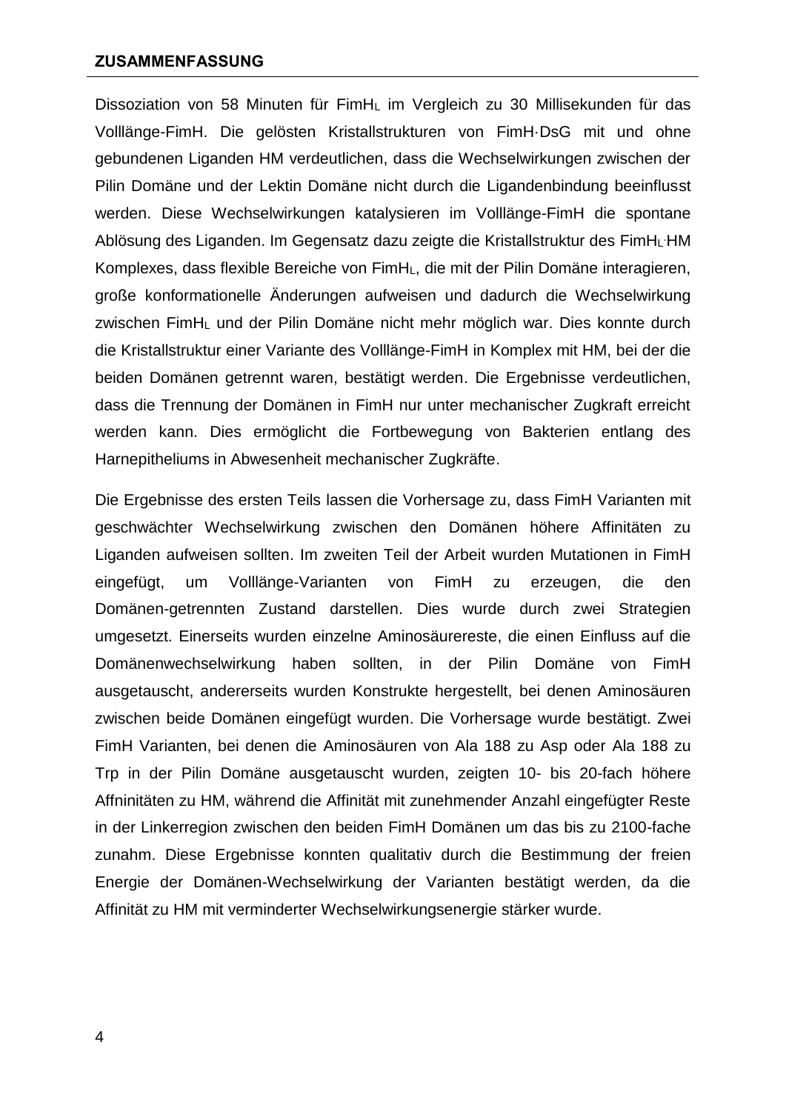Dissoziation von 58 Minuten für FimH<sup>L</sup> im Vergleich zu 30 Millisekunden für das Volllänge-FimH. Die gelösten Kristallstrukturen von FimH·DsG mit und ohne gebundenen Liganden HM verdeutlichen, dass die Wechselwirkungen zwischen der Pilin Domäne und der Lektin Domäne nicht durch die Ligandenbindung beeinflusst werden. Diese Wechselwirkungen katalysieren im Volllänge-FimH die spontane Ablösung des Liganden. Im Gegensatz dazu zeigte die Kristallstruktur des FimHL HM Komplexes, dass flexible Bereiche von FimHL, die mit der Pilin Domäne interagieren, große konformationelle [Än](https://de.wiktionary.org/wiki/%C3%84nderung)derungen aufweisen und dadurch die Wechselwirkung zwischen FimH<sup>L</sup> und der Pilin Domäne nicht mehr möglich war. Dies konnte durch die Kristallstruktur einer Variante des Volllänge-FimH in Komplex mit HM, bei der die beiden Domänen getrennt waren, bestätigt werden. Die Ergebnisse verdeutlichen, dass die Trennung der Domänen in FimH nur unter mechanischer Zugkraft erreicht werden kann. Dies ermöglicht die Fortbewegung von Bakterien entlang des Harnepitheliums in Abwesenheit mechanischer Zugkräfte.

Die Ergebnisse des ersten Teils lassen die Vorhersage zu, dass FimH Varianten mit geschwächter Wechselwirkung zwischen den Domänen höhere Affinitäten zu Liganden aufweisen sollten. Im zweiten Teil der Arbeit wurden Mutationen in FimH eingefügt, um Volllänge-Varianten von FimH zu erzeugen, die den Domänen-getrennten Zustand darstellen. Dies wurde durch zwei Strategien umgesetzt. Einerseits wurden einzelne Aminosäurereste, die einen Einfluss auf die Domänenwechselwirkung haben sollten, in der Pilin Domäne von FimH ausgetauscht, andererseits wurden Konstrukte hergestellt, bei denen Aminosäuren zwischen beide Domänen eingefügt wurden. Die Vorhersage wurde bestätigt. Zwei FimH Varianten, bei denen die Aminosäuren von Ala 188 zu Asp oder Ala 188 zu Trp in der Pilin Domäne ausgetauscht wurden, zeigten 10- bis 20-fach höhere Affninitäten zu HM, während die Affinität mit zunehmender Anzahl eingefügter Reste in der Linkerregion zwischen den beiden FimH Domänen um das bis zu 2100-fache zunahm. Diese Ergebnisse konnten qualitativ durch die Bestimmung der freien Energie der Domänen-Wechselwirkung der Varianten bestätigt werden, da die Affinität zu HM mit verminderter Wechselwirkungsenergie stärker wurde.